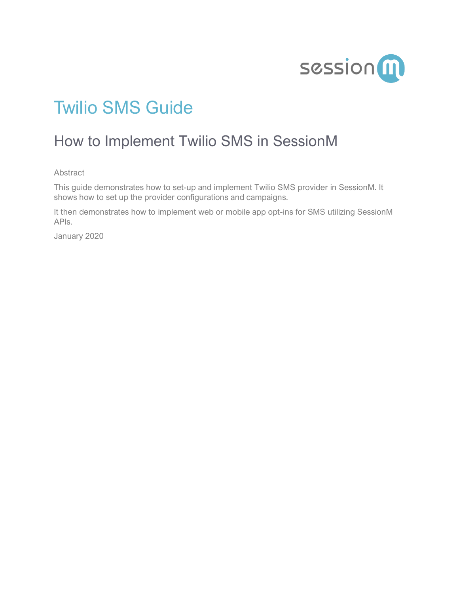

# Twilio SMS Guide

# How to Implement Twilio SMS in SessionM

Abstract

This guide demonstrates how to set-up and implement Twilio SMS provider in SessionM. It shows how to set up the provider configurations and campaigns.

It then demonstrates how to implement web or mobile app opt-ins for SMS utilizing SessionM APIs.

January 2020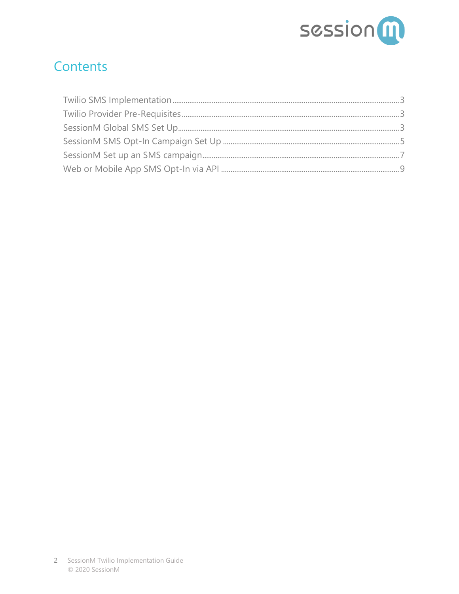

### **Contents**

<span id="page-1-0"></span>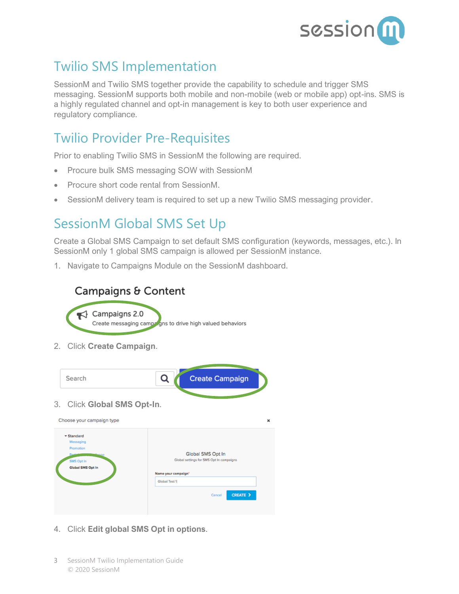

### Twilio SMS Implementation

SessionM and Twilio SMS together provide the capability to schedule and trigger SMS messaging. SessionM supports both mobile and non-mobile (web or mobile app) opt-ins. SMS is a highly regulated channel and opt-in management is key to both user experience and regulatory compliance.

#### <span id="page-2-0"></span>Twilio Provider Pre-Requisites

Prior to enabling Twilio SMS in SessionM the following are required.

- Procure bulk SMS messaging SOW with SessionM
- Procure short code rental from SessionM.
- SessionM delivery team is required to set up a new Twilio SMS messaging provider.

#### <span id="page-2-1"></span>SessionM Global SMS Set Up

Create a Global SMS Campaign to set default SMS configuration (keywords, messages, etc.). In SessionM only 1 global SMS campaign is allowed per SessionM instance.

1. Navigate to Campaigns Module on the SessionM dashboard.

#### Campaigns & Content

 $\blacktriangleleft$  Campaigns 2.0 Create messaging campagns to drive high valued behaviors

2. Click **Create Campaign**.



- 4. Click **Edit global SMS Opt in options**.
- 3 SessionM Twilio Implementation Guide © 2020 SessionM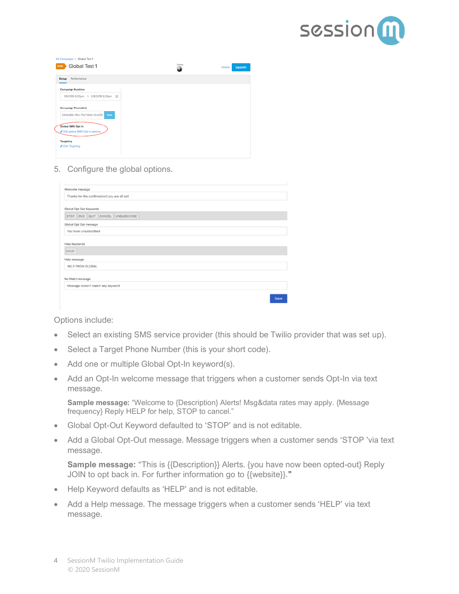

| Global Test 1<br>Draft                              | Owner<br>0 | Launch<br>Delete |
|-----------------------------------------------------|------------|------------------|
| Setup Performance                                   |            |                  |
| Campaign Runtime                                    |            |                  |
| 1/8/2018 6:33pm ~ 2/8/2018 6:33pm 曲                 |            |                  |
| <b>Campaign Permalink</b>                           |            |                  |
| 54d4a89c-f4cc-f1e7-8ddc-0ca128<br>Sme               |            |                  |
| Global SMS Opt In<br>Edit global SMS Opt in options |            |                  |
| Targeting                                           |            |                  |
| Edit Targeting                                      |            |                  |

5. Configure the global options.

| Welcome message                               |             |
|-----------------------------------------------|-------------|
| Thanks for the confirmation! you are all set! |             |
| Global Opt Out Keywords                       |             |
| STOP END QUIT CANCEL UNSUBSCRIBE              |             |
| Global Opt Out message                        |             |
| You have unsubscribed                         |             |
| Help Keywords<br><b>HELP</b>                  |             |
| Help message                                  |             |
| <b>HELP FROM GLOBAL</b>                       |             |
| No Match message                              |             |
| Message doesn't match any keyword             |             |
|                                               | <b>Save</b> |

Options include:

- Select an existing SMS service provider (this should be Twilio provider that was set up).
- Select a Target Phone Number (this is your short code).
- Add one or multiple Global Opt-In keyword(s).
- Add an Opt-In welcome message that triggers when a customer sends Opt-In via text message.

**Sample message:** "Welcome to {Description} Alerts! Msg&data rates may apply. {Message frequency} Reply HELP for help, STOP to cancel."

- Global Opt-Out Keyword defaulted to 'STOP' and is not editable.
- Add a Global Opt-Out message. Message triggers when a customer sends 'STOP 'via text message.

**Sample message:** "This is {{Description}} Alerts. {you have now been opted-out} Reply JOIN to opt back in. For further information go to {{website}}."

- Help Keyword defaults as 'HELP' and is not editable.
- Add a Help message. The message triggers when a customer sends 'HELP' via text message.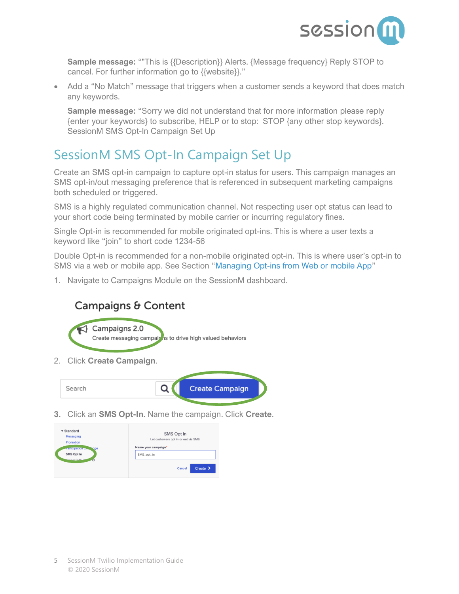

**Sample message:** ""This is {{Description}} Alerts. {Message frequency} Reply STOP to cancel. For further information go to {{website}}."

• Add a "No Match" message that triggers when a customer sends a keyword that does match any keywords.

**Sample message:** "Sorry we did not understand that for more information please reply {enter your keywords} to subscribe, HELP or to stop: STOP {any other stop keywords}. SessionM SMS Opt-In Campaign Set Up

## <span id="page-4-0"></span>SessionM SMS Opt-In Campaign Set Up

Create an SMS opt-in campaign to capture opt-in status for users. This campaign manages an SMS opt-in/out messaging preference that is referenced in subsequent marketing campaigns both scheduled or triggered.

SMS is a highly regulated communication channel. Not respecting user opt status can lead to your short code being terminated by mobile carrier or incurring regulatory fines.

Single Opt-in is recommended for mobile originated opt-ins. This is where a user texts a keyword like "join" to short code 1234-56

Double Opt-in is recommended for a non-mobile originated opt-in. This is where user's opt-in to SMS via a web or mobile app. See Section "Managing Opt-ins from Web or mobile App"

1. Navigate to Campaigns Module on the SessionM dashboard.

#### Campaigns & Content



2. Click **Create Campaign**.



**3.** Click an **SMS Opt-In**. Name the campaign. Click **Create**.

| $\blacktriangledown$ Standard<br>Messaging<br>Promotion        | SMS Opt In<br>Let customers opt in or out via SMS. |  |
|----------------------------------------------------------------|----------------------------------------------------|--|
| rarticipation ex.<br><b>NOGE</b><br>SMS Opt In<br>Clabal CMC O | Name your campaign'<br>SMS_opt_in                  |  |
|                                                                | $Create \geq$<br>Cancel                            |  |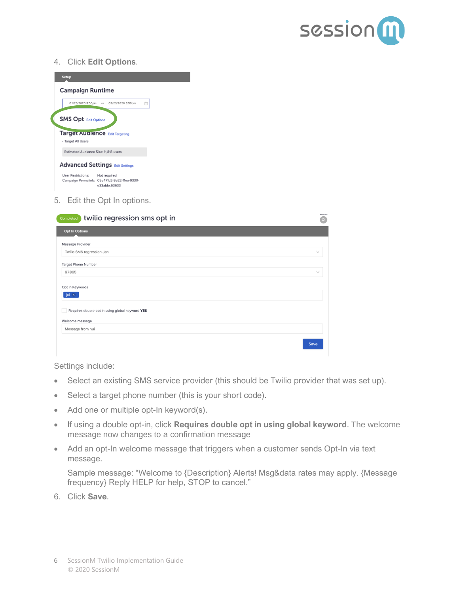

#### 4. Click **Edit Options**.

| <b>Setup</b> |                                                                                                           |
|--------------|-----------------------------------------------------------------------------------------------------------|
|              | <b>Campaign Runtime</b>                                                                                   |
|              | 01/23/2020 3:50pm<br>$\sim$ 02/23/2020 3:50pm<br>曲                                                        |
|              | <b>SMS Opt Edit Options</b>                                                                               |
|              | <b>Target Auglence Edit Targeting</b><br>· Target All Users                                               |
|              | Estimated Audience Size: 11,818 users                                                                     |
|              | <b>Advanced Settings Edit Settings</b>                                                                    |
|              | <b>User Restrictions:</b><br>Not required<br>Campaign Permalink: 05e471b2-3e22-11ea-9330-<br>e33abbc63633 |

5. Edit the Opt In options.

| twilio regression sms opt in<br>Completed                                                      | QI     |
|------------------------------------------------------------------------------------------------|--------|
| <b>Opt In Options</b>                                                                          |        |
| Message Provider                                                                               |        |
| Twilio SMS regression Jan                                                                      | $\vee$ |
| <b>Target Phone Number</b>                                                                     |        |
| 97865                                                                                          | $\vee$ |
| Opt In Keywords<br>jui X<br>Requires double opt in using global keyword YES<br>Welcome message |        |
| Message from hui                                                                               |        |
|                                                                                                | Save   |

Settings include:

- Select an existing SMS service provider (this should be Twilio provider that was set up).
- Select a target phone number (this is your short code).
- Add one or multiple opt-In keyword(s).
- If using a double opt-in, click **Requires double opt in using global keyword**. The welcome message now changes to a confirmation message
- Add an opt-In welcome message that triggers when a customer sends Opt-In via text message.

Sample message: "Welcome to {Description} Alerts! Msg&data rates may apply. {Message frequency} Reply HELP for help, STOP to cancel."

6. Click **Save**.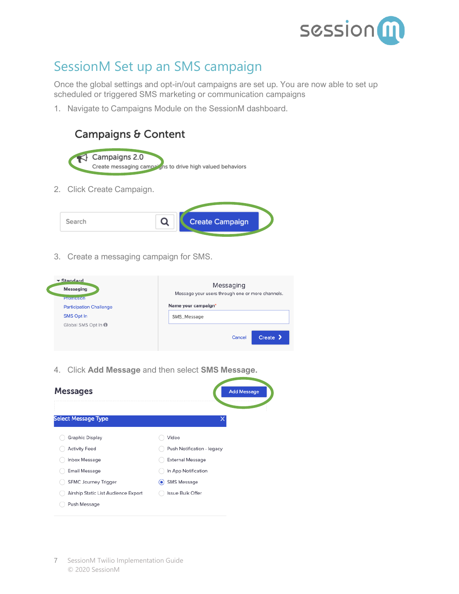

#### <span id="page-6-0"></span>SessionM Set up an SMS campaign

Once the global settings and opt-in/out campaigns are set up. You are now able to set up scheduled or triggered SMS marketing or communication campaigns

1. Navigate to Campaigns Module on the SessionM dashboard.







3. Create a messaging campaign for SMS.

| $\blacktriangledown$ Standard<br><b>Messaging</b><br><b>Promotion</b> | Messaging<br>Message your users through one or more channels. |
|-----------------------------------------------------------------------|---------------------------------------------------------------|
| <b>Participation Challenge</b>                                        | Name your campaign*                                           |
| <b>SMS Opt In</b>                                                     | SMS_Message                                                   |
| Global SMS Opt In 0                                                   |                                                               |
|                                                                       | Create $\lambda$<br>Cancel                                    |

4. Click **Add Message** and then select **SMS Message.**

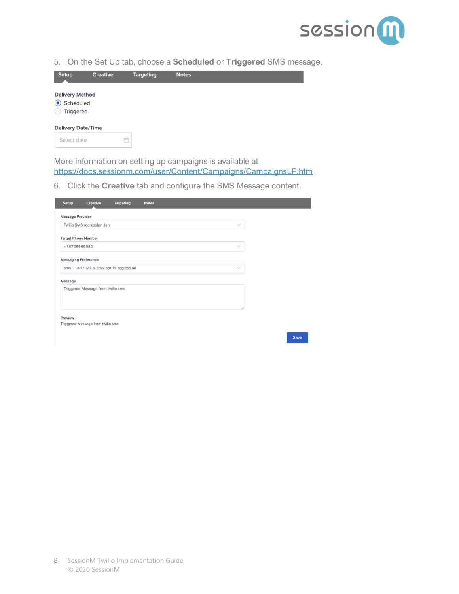

Save

5. On the Set Up tab, choose a **Scheduled** or **Triggered** SMS message.



More information on setting up campaigns is available at <https://docs.sessionm.com/user/Content/Campaigns/CampaignsLP.htm>

6. Click the **Creative** tab and configure the SMS Message content.

| Setup<br><b>Creative</b>                     | <b>Targeting</b> | <b>Notes</b> |  |
|----------------------------------------------|------------------|--------------|--|
| <b>Message Provider</b>                      |                  |              |  |
| Twilio SMS regression Jan                    |                  | $\vee$       |  |
| <b>Target Phone Number</b>                   |                  |              |  |
| +18726669682                                 |                  | $\vee$       |  |
| <b>Messaging Preference</b>                  |                  |              |  |
| sms - 1417 twilio-sms-opt-in-regression      |                  | $\vee$       |  |
| Message                                      |                  |              |  |
| Triggered Message from twilio sms            |                  |              |  |
|                                              |                  |              |  |
|                                              |                  |              |  |
| Preview<br>Triggered Message from twilio sms |                  |              |  |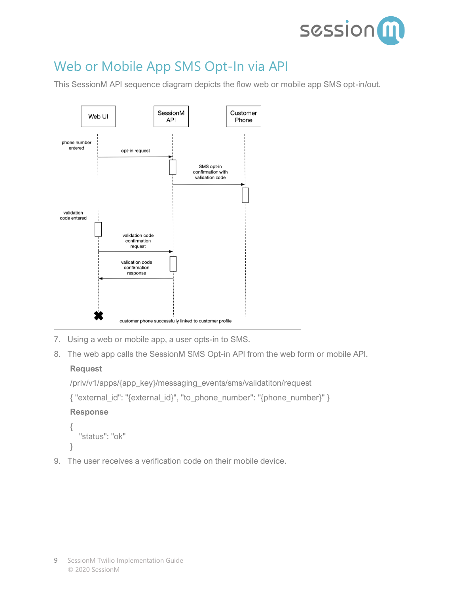

## <span id="page-8-0"></span>Web or Mobile App SMS Opt-In via API

This SessionM API sequence diagram depicts the flow web or mobile app SMS opt-in/out.



- 7. Using a web or mobile app, a user opts-in to SMS.
- 8. The web app calls the SessionM SMS Opt-in API from the web form or mobile API.

#### **Request**

```
/priv/v1/apps/{app_key}/messaging_events/sms/validatiton/request
{ "external_id": "{external_id}", "to_phone_number": "{phone_number}" }
Response
{
   "status": "ok"
}
```
9. The user receives a verification code on their mobile device.